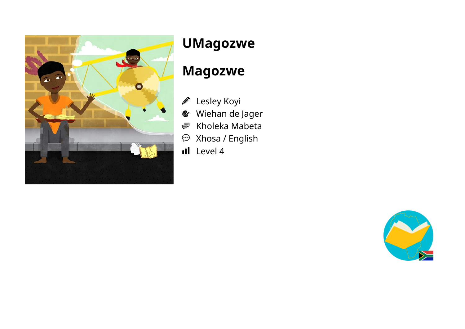

# **UMagozwe**

### **Magozwe**

- Lesley Koyi  $\mathscr{D}$
- Wiehan de Jager  $\mathcal{C}$
- Kholeka Mabeta ●
- Xhosa / English  $\odot$
- Il Level 4

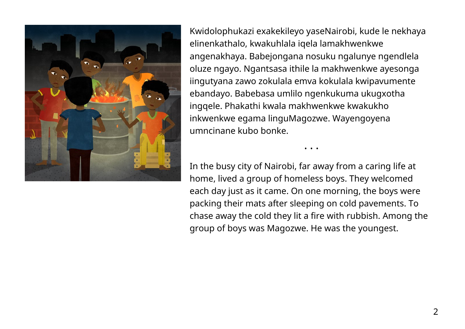

Kwidolophukazi exakekileyo yaseNairobi, kude le nekhaya elinenkathalo, kwakuhlala iqela lamakhwenkwe angenakhaya. Babejongana nosuku ngalunye ngendlela oluze ngayo. Ngantsasa ithile la makhwenkwe ayesonga iingutyana zawo zokulala emva kokulala kwipavumente ebandayo. Babebasa umlilo ngenkukuma ukugxotha ingqele. Phakathi kwala makhwenkwe kwakukho inkwenkwe egama linguMagozwe. Wayengoyena umncinane kubo bonke.

In the busy city of Nairobi, far away from a caring life at home, lived a group of homeless boys. They welcomed each day just as it came. On one morning, the boys were packing their mats after sleeping on cold pavements. To chase away the cold they lit a fire with rubbish. Among the group of boys was Magozwe. He was the youngest.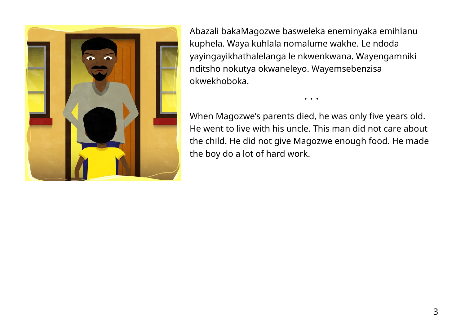

Abazali bakaMagozwe basweleka eneminyaka emihlanu kuphela. Waya kuhlala nomalume wakhe. Le ndoda yayingayikhathalelanga le nkwenkwana. Wayengamniki nditsho nokutya okwaneleyo. Wayemsebenzisa okwekhoboka.

When Magozwe's parents died, he was only five years old. He went to live with his uncle. This man did not care about the child. He did not give Magozwe enough food. He made the boy do a lot of hard work.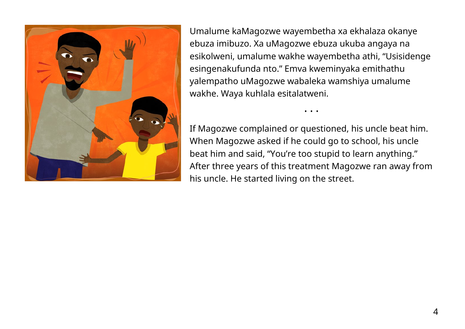

Umalume kaMagozwe wayembetha xa ekhalaza okanye ebuza imibuzo. Xa uMagozwe ebuza ukuba angaya na esikolweni, umalume wakhe wayembetha athi, "Usisidenge esingenakufunda nto." Emva kweminyaka emithathu yalempatho uMagozwe wabaleka wamshiya umalume wakhe. Waya kuhlala esitalatweni.

If Magozwe complained or questioned, his uncle beat him. When Magozwe asked if he could go to school, his uncle beat him and said, "You're too stupid to learn anything." After three years of this treatment Magozwe ran away from his uncle. He started living on the street.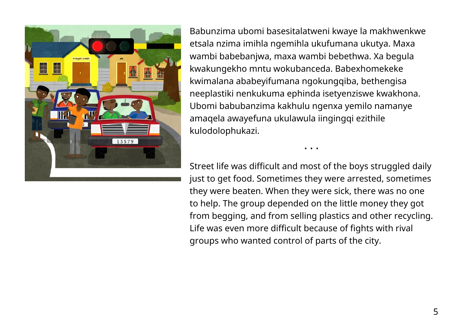

Babunzima ubomi basesitalatweni kwaye la makhwenkwe etsala nzima imihla ngemihla ukufumana ukutya. Maxa wambi babebanjwa, maxa wambi bebethwa. Xa begula kwakungekho mntu wokubanceda. Babexhomekeke kwimalana ababeyifumana ngokungqiba, bethengisa neeplastiki nenkukuma ephinda isetyenziswe kwakhona. Ubomi babubanzima kakhulu ngenxa yemilo namanye amaqela awayefuna ukulawula iingingqi ezithile kulodolophukazi.

Street life was difficult and most of the boys struggled daily just to get food. Sometimes they were arrested, sometimes they were beaten. When they were sick, there was no one to help. The group depended on the little money they got from begging, and from selling plastics and other recycling. Life was even more difficult because of fights with rival groups who wanted control of parts of the city.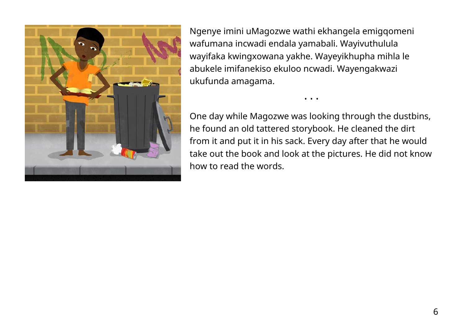

Ngenye imini uMagozwe wathi ekhangela emigqomeni wafumana incwadi endala yamabali. Wayivuthulula wayifaka kwingxowana yakhe. Wayeyikhupha mihla le abukele imifanekiso ekuloo ncwadi. Wayengakwazi ukufunda amagama.

One day while Magozwe was looking through the dustbins, he found an old tattered storybook. He cleaned the dirt from it and put it in his sack. Every day after that he would take out the book and look at the pictures. He did not know how to read the words.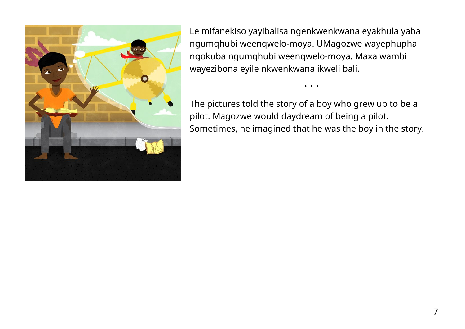

Le mifanekiso yayibalisa ngenkwenkwana eyakhula yaba ngumqhubi weenqwelo-moya. UMagozwe wayephupha ngokuba ngumqhubi weenqwelo-moya. Maxa wambi wayezibona eyile nkwenkwana ikweli bali.

The pictures told the story of a boy who grew up to be a pilot. Magozwe would daydream of being a pilot. Sometimes, he imagined that he was the boy in the story.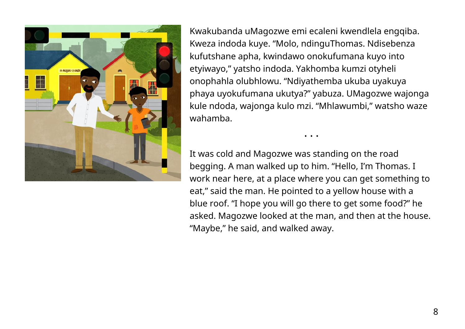

Kwakubanda uMagozwe emi ecaleni kwendlela engqiba. Kweza indoda kuye. "Molo, ndinguThomas. Ndisebenza kufutshane apha, kwindawo onokufumana kuyo into etyiwayo," yatsho indoda. Yakhomba kumzi otyheli onophahla olubhlowu. "Ndiyathemba ukuba uyakuya phaya uyokufumana ukutya?" yabuza. UMagozwe wajonga kule ndoda, wajonga kulo mzi. "Mhlawumbi," watsho waze wahamba.

It was cold and Magozwe was standing on the road begging. A man walked up to him. "Hello, I'm Thomas. I work near here, at a place where you can get something to eat," said the man. He pointed to a yellow house with a blue roof. "I hope you will go there to get some food?" he asked. Magozwe looked at the man, and then at the house. "Maybe," he said, and walked away.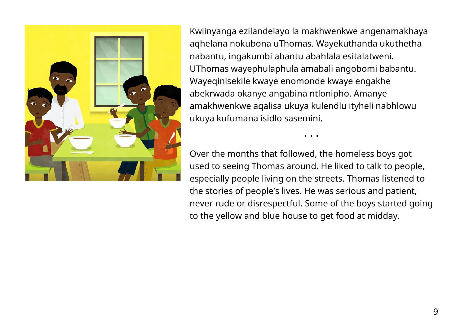

Kwiinyanga ezilandelayo la makhwenkwe angenamakhaya aqhelana nokubona uThomas. Wayekuthanda ukuthetha nabantu, ingakumbi abantu abahlala esitalatweni. UThomas wayephulaphula amabali angobomi babantu. Wayeqinisekile kwaye enomonde kwaye engakhe abekrwada okanye angabina ntlonipho. Amanye amakhwenkwe aqalisa ukuya kulendlu ityheli nabhlowu ukuya kufumana isidlo sasemini.

Over the months that followed, the homeless boys got used to seeing Thomas around. He liked to talk to people, especially people living on the streets. Thomas listened to the stories of people's lives. He was serious and patient, never rude or disrespectful. Some of the boys started going to the yellow and blue house to get food at midday.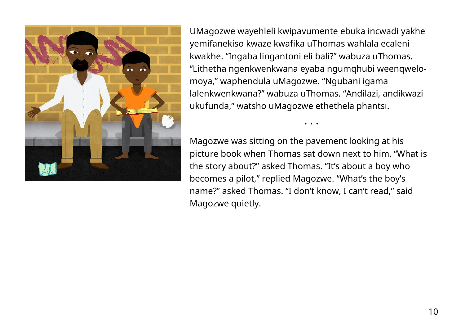

UMagozwe wayehleli kwipavumente ebuka incwadi yakhe yemifanekiso kwaze kwafika uThomas wahlala ecaleni kwakhe. "Ingaba lingantoni eli bali?" wabuza uThomas. "Lithetha ngenkwenkwana eyaba ngumqhubi weenqwelomoya," waphendula uMagozwe. "Ngubani igama lalenkwenkwana?" wabuza uThomas. "Andilazi, andikwazi ukufunda," watsho uMagozwe ethethela phantsi.

Magozwe was sitting on the pavement looking at his picture book when Thomas sat down next to him. "What is the story about?" asked Thomas. "It's about a boy who becomes a pilot," replied Magozwe. "What's the boy's name?" asked Thomas. "I don't know, I can't read," said Magozwe quietly.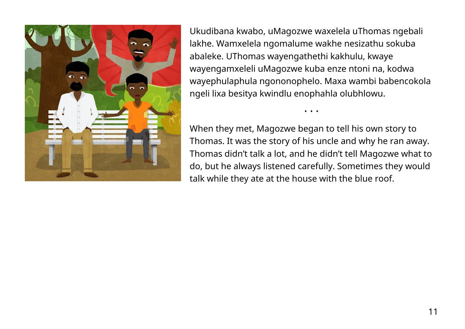

Ukudibana kwabo, uMagozwe waxelela uThomas ngebali lakhe. Wamxelela ngomalume wakhe nesizathu sokuba abaleke. UThomas wayengathethi kakhulu, kwaye wayengamxeleli uMagozwe kuba enze ntoni na, kodwa wayephulaphula ngononophelo. Maxa wambi babencokola ngeli lixa besitya kwindlu enophahla olubhlowu.

When they met, Magozwe began to tell his own story to Thomas. It was the story of his uncle and why he ran away. Thomas didn't talk a lot, and he didn't tell Magozwe what to do, but he always listened carefully. Sometimes they would talk while they ate at the house with the blue roof.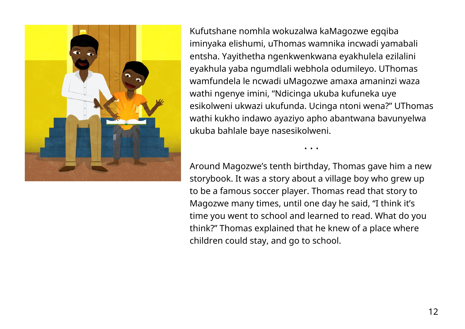

Kufutshane nomhla wokuzalwa kaMagozwe egqiba iminyaka elishumi, uThomas wamnika incwadi yamabali entsha. Yayithetha ngenkwenkwana eyakhulela ezilalini eyakhula yaba ngumdlali webhola odumileyo. UThomas wamfundela le ncwadi uMagozwe amaxa amaninzi waza wathi ngenye imini, "Ndicinga ukuba kufuneka uye esikolweni ukwazi ukufunda. Ucinga ntoni wena?" UThomas wathi kukho indawo ayaziyo apho abantwana bavunyelwa ukuba bahlale baye nasesikolweni.

Around Magozwe's tenth birthday, Thomas gave him a new storybook. It was a story about a village boy who grew up to be a famous soccer player. Thomas read that story to Magozwe many times, until one day he said, "I think it's time you went to school and learned to read. What do you think?" Thomas explained that he knew of a place where children could stay, and go to school.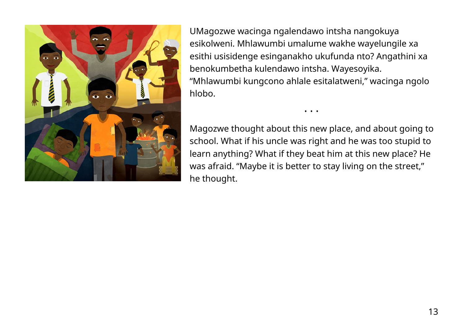

UMagozwe wacinga ngalendawo intsha nangokuya esikolweni. Mhlawumbi umalume wakhe wayelungile xa esithi usisidenge esinganakho ukufunda nto? Angathini xa benokumbetha kulendawo intsha. Wayesoyika. "Mhlawumbi kungcono ahlale esitalatweni," wacinga ngolo hlobo.

Magozwe thought about this new place, and about going to school. What if his uncle was right and he was too stupid to learn anything? What if they beat him at this new place? He was afraid. "Maybe it is better to stay living on the street," he thought.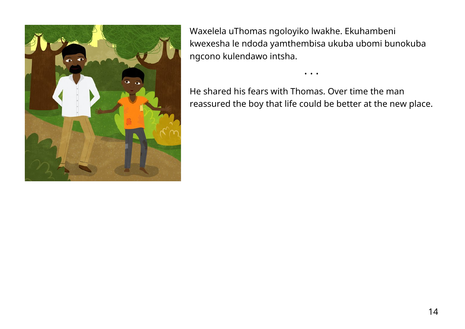

Waxelela uThomas ngoloyiko lwakhe. Ekuhambeni kwexesha le ndoda yamthembisa ukuba ubomi bunokuba ngcono kulendawo intsha.

He shared his fears with Thomas. Over time the man reassured the boy that life could be better at the new place.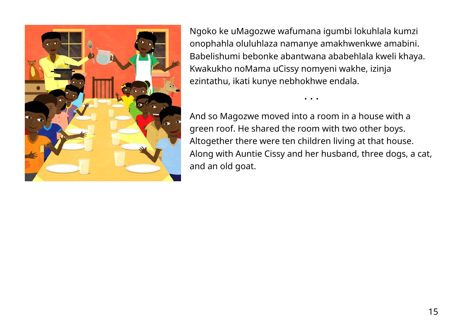

Ngoko ke uMagozwe wafumana igumbi lokuhlala kumzi onophahla oluluhlaza namanye amakhwenkwe amabini. Babelishumi bebonke abantwana ababehlala kweli khaya. Kwakukho noMama uCissy nomyeni wakhe, izinja ezintathu, ikati kunye nebhokhwe endala.

And so Magozwe moved into a room in a house with a green roof. He shared the room with two other boys. Altogether there were ten children living at that house. Along with Auntie Cissy and her husband, three dogs, a cat, and an old goat.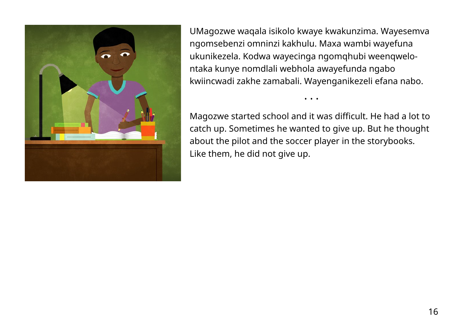

UMagozwe waqala isikolo kwaye kwakunzima. Wayesemva ngomsebenzi omninzi kakhulu. Maxa wambi wayefuna ukunikezela. Kodwa wayecinga ngomqhubi weenqwelontaka kunye nomdlali webhola awayefunda ngabo kwiincwadi zakhe zamabali. Wayenganikezeli efana nabo.

Magozwe started school and it was difficult. He had a lot to catch up. Sometimes he wanted to give up. But he thought about the pilot and the soccer player in the storybooks. Like them, he did not give up.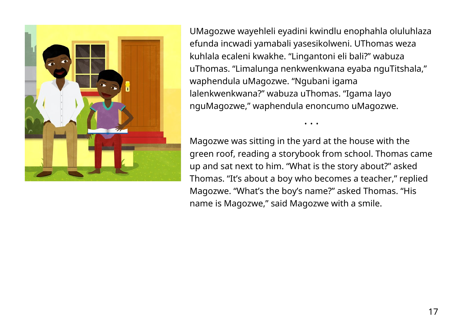

UMagozwe wayehleli eyadini kwindlu enophahla oluluhlaza efunda incwadi yamabali yasesikolweni. UThomas weza kuhlala ecaleni kwakhe. "Lingantoni eli bali?" wabuza uThomas. "Limalunga nenkwenkwana eyaba nguTitshala," waphendula uMagozwe. "Ngubani igama lalenkwenkwana?" wabuza uThomas. "Igama layo nguMagozwe," waphendula enoncumo uMagozwe.

Magozwe was sitting in the yard at the house with the green roof, reading a storybook from school. Thomas came up and sat next to him. "What is the story about?" asked Thomas. "It's about a boy who becomes a teacher," replied Magozwe. "What's the boy's name?" asked Thomas. "His name is Magozwe," said Magozwe with a smile.